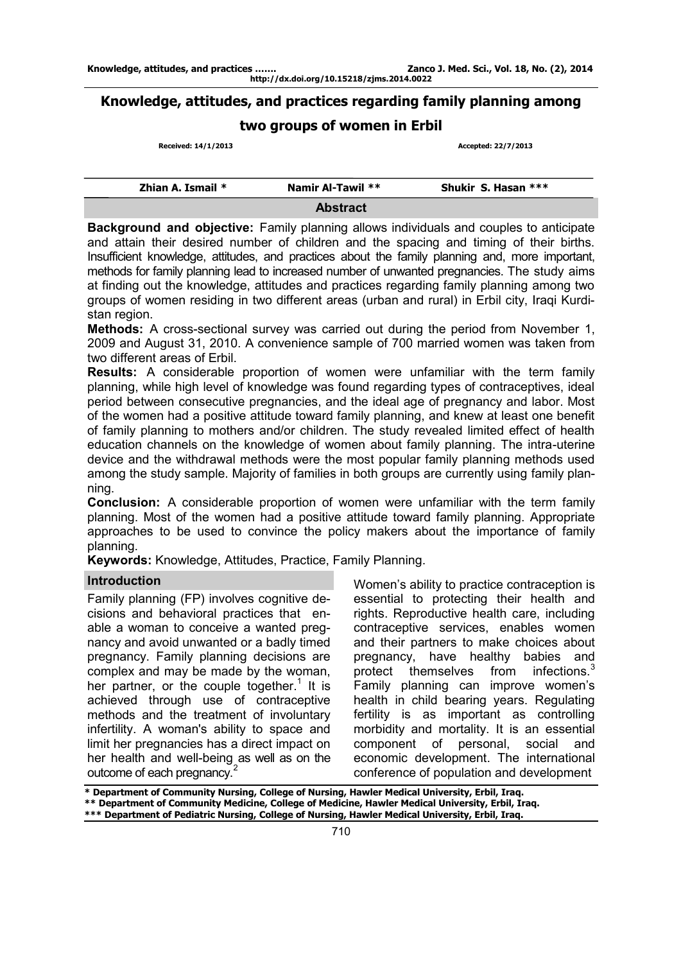## **Knowledge, attitudes, and practices regarding family planning among**

## **two groups of women in Erbil**

 **Received: 14/1/2013 Accepted: 22/7/2013** 

| Zhian A. Ismail $*$ | Namir Al-Tawil ** | Shukir S. Hasan *** |
|---------------------|-------------------|---------------------|
|                     | <b>Abstract</b>   |                     |

**Background and objective:** Family planning allows individuals and couples to anticipate and attain their desired number of children and the spacing and timing of their births. Insufficient knowledge, attitudes, and practices about the family planning and, more important, methods for family planning lead to increased number of unwanted pregnancies. The study aims at finding out the knowledge, attitudes and practices regarding family planning among two groups of women residing in two different areas (urban and rural) in Erbil city, Iraqi Kurdistan region.

**Methods:** A cross-sectional survey was carried out during the period from November 1, 2009 and August 31, 2010. A convenience sample of 700 married women was taken from two different areas of Erbil.

**Results:** A considerable proportion of women were unfamiliar with the term family planning, while high level of knowledge was found regarding types of contraceptives, ideal period between consecutive pregnancies, and the ideal age of pregnancy and labor. Most of the women had a positive attitude toward family planning, and knew at least one benefit of family planning to mothers and/or children. The study revealed limited effect of health education channels on the knowledge of women about family planning. The intra-uterine device and the withdrawal methods were the most popular family planning methods used among the study sample. Majority of families in both groups are currently using family planning.

**Conclusion:** A considerable proportion of women were unfamiliar with the term family planning. Most of the women had a positive attitude toward family planning. Appropriate approaches to be used to convince the policy makers about the importance of family planning.

**Keywords:** Knowledge, Attitudes, Practice, Family Planning.

## **Introduction**

Family planning (FP) involves cognitive decisions and behavioral practices that enable a woman to conceive a wanted pregnancy and avoid unwanted or a badly timed pregnancy. Family planning decisions are complex and may be made by the woman, her partner, or the couple together.<sup>1</sup> It is achieved through use of contraceptive methods and the treatment of involuntary infertility. A woman's ability to space and limit her pregnancies has a direct impact on her health and well-being as well as on the outcome of each pregnancy.<sup>2</sup>

Women's ability to practice contraception is essential to protecting their health and rights. Reproductive health care, including contraceptive services, enables women and their partners to make choices about pregnancy, have healthy babies and protect themselves from infections. $3$ Family planning can improve women's health in child bearing years. Regulating fertility is as important as controlling morbidity and mortality. It is an essential component of personal, social and economic development. The international conference of population and development

**<sup>\*</sup> Department of Community Nursing, College of Nursing, Hawler Medical University, Erbil, Iraq. \*\* Department of Community Medicine, College of Medicine, Hawler Medical University, Erbil, Iraq. \*\*\* Department of Pediatric Nursing, College of Nursing, Hawler Medical University, Erbil, Iraq.**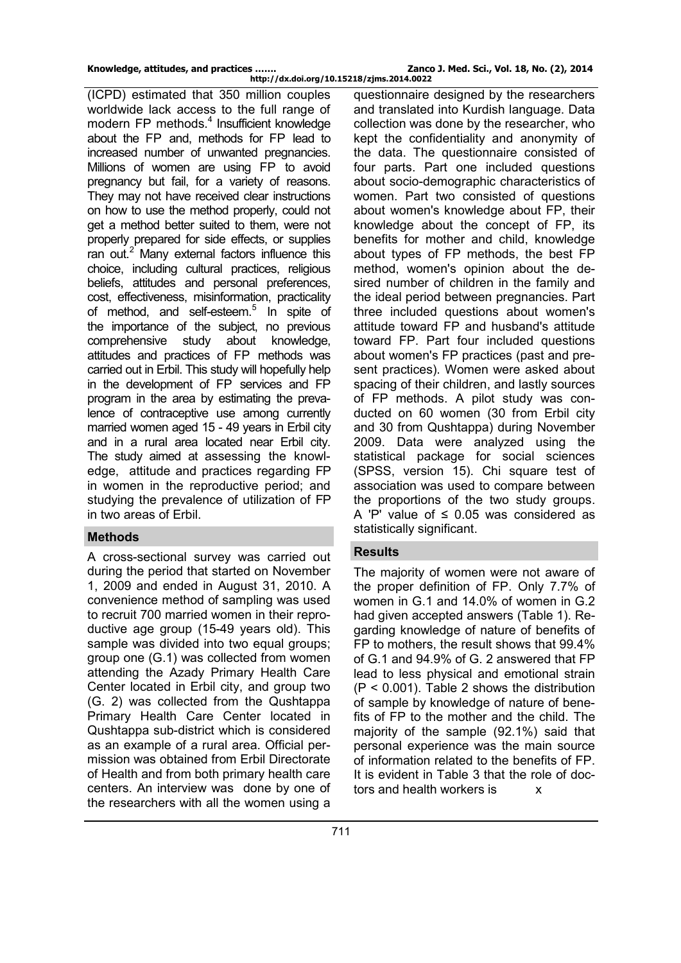(ICPD) estimated that 350 million couples worldwide lack access to the full range of modern FP methods.<sup>4</sup> Insufficient knowledge about the FP and, methods for FP lead to increased number of unwanted pregnancies. Millions of women are using FP to avoid pregnancy but fail, for a variety of reasons. They may not have received clear instructions on how to use the method properly, could not get a method better suited to them, were not properly prepared for side effects, or supplies ran out.<sup>2</sup> Many external factors influence this choice, including cultural practices, religious beliefs, attitudes and personal preferences, cost, effectiveness, misinformation, practicality of method, and self-esteem.<sup>5</sup> In spite of the importance of the subject, no previous comprehensive study about knowledge, attitudes and practices of FP methods was carried out in Erbil. This study will hopefully help in the development of FP services and FP program in the area by estimating the prevalence of contraceptive use among currently married women aged 15 - 49 years in Erbil city and in a rural area located near Erbil city. The study aimed at assessing the knowledge, attitude and practices regarding FP in women in the reproductive period; and studying the prevalence of utilization of FP in two areas of Erbil.

### **Methods**

A cross-sectional survey was carried out during the period that started on November 1, 2009 and ended in August 31, 2010. A convenience method of sampling was used to recruit 700 married women in their reproductive age group (15-49 years old). This sample was divided into two equal groups; group one (G.1) was collected from women attending the Azady Primary Health Care Center located in Erbil city, and group two (G. 2) was collected from the Qushtappa Primary Health Care Center located in Qushtappa sub-district which is considered as an example of a rural area. Official permission was obtained from Erbil Directorate of Health and from both primary health care centers. An interview was done by one of the researchers with all the women using a

questionnaire designed by the researchers and translated into Kurdish language. Data collection was done by the researcher, who kept the confidentiality and anonymity of the data. The questionnaire consisted of four parts. Part one included questions about socio-demographic characteristics of women. Part two consisted of questions about women's knowledge about FP, their knowledge about the concept of FP, its benefits for mother and child, knowledge about types of FP methods, the best FP method, women's opinion about the desired number of children in the family and the ideal period between pregnancies. Part three included questions about women's attitude toward FP and husband's attitude toward FP. Part four included questions about women's FP practices (past and present practices). Women were asked about spacing of their children, and lastly sources of FP methods. A pilot study was conducted on 60 women (30 from Erbil city and 30 from Qushtappa) during November 2009. Data were analyzed using the statistical package for social sciences (SPSS, version 15). Chi square test of association was used to compare between the proportions of the two study groups. A 'P' value of ≤ 0.05 was considered as statistically significant.

## **Results**

The majority of women were not aware of the proper definition of FP. Only 7.7% of women in G.1 and 14.0% of women in G.2 had given accepted answers (Table 1). Regarding knowledge of nature of benefits of FP to mothers, the result shows that 99.4% of G.1 and 94.9% of G. 2 answered that FP lead to less physical and emotional strain (P < 0.001). Table 2 shows the distribution of sample by knowledge of nature of benefits of FP to the mother and the child. The majority of the sample (92.1%) said that personal experience was the main source of information related to the benefits of FP. It is evident in Table 3 that the role of doctors and health workers is  $\frac{1}{x}$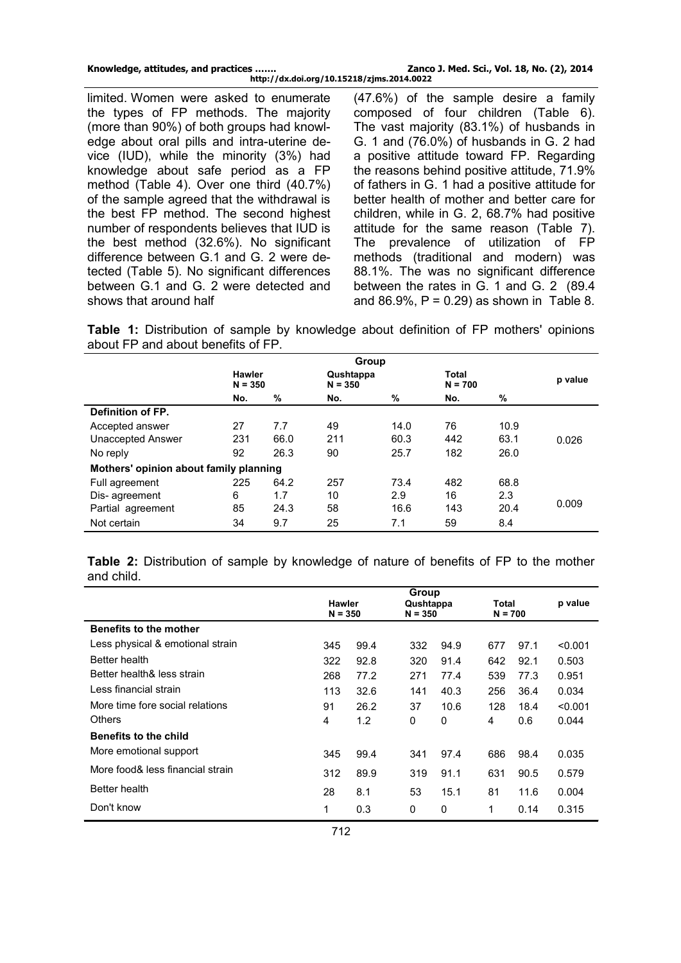| Knowledge, attitudes, and practices       | Zanco J. Med. Sci., Vol. 18, No. (2), 2014 |
|-------------------------------------------|--------------------------------------------|
| http://dx.doi.org/10.15218/zjms.2014.0022 |                                            |

limited. Women were asked to enumerate the types of FP methods. The majority (more than 90%) of both groups had knowledge about oral pills and intra-uterine device (IUD), while the minority (3%) had knowledge about safe period as a FP method (Table 4). Over one third (40.7%) of the sample agreed that the withdrawal is the best FP method. The second highest number of respondents believes that IUD is the best method (32.6%). No significant difference between G.1 and G. 2 were detected (Table 5). No significant differences between G.1 and G. 2 were detected and shows that around half

(47.6%) of the sample desire a family composed of four children (Table 6). The vast majority (83.1%) of husbands in G. 1 and (76.0%) of husbands in G. 2 had a positive attitude toward FP. Regarding the reasons behind positive attitude, 71.9% of fathers in G. 1 had a positive attitude for better health of mother and better care for children, while in G. 2, 68.7% had positive attitude for the same reason (Table 7). The prevalence of utilization of FP methods (traditional and modern) was 88.1%. The was no significant difference between the rates in G. 1 and G. 2 (89.4 and 86.9%,  $P = 0.29$  as shown in Table 8.

**Table 1:** Distribution of sample by knowledge about definition of FP mothers' opinions about FP and about benefits of FP.

|                                        |                            |      | Group                  |      |                    |      |         |
|----------------------------------------|----------------------------|------|------------------------|------|--------------------|------|---------|
|                                        | <b>Hawler</b><br>$N = 350$ |      | Qushtappa<br>$N = 350$ |      | Total<br>$N = 700$ |      | p value |
|                                        | No.                        | %    | No.                    | %    | No.                | $\%$ |         |
| Definition of FP.                      |                            |      |                        |      |                    |      |         |
| Accepted answer                        | 27                         | 7.7  | 49                     | 14.0 | 76                 | 10.9 |         |
| <b>Unaccepted Answer</b>               | 231                        | 66.0 | 211                    | 60.3 | 442                | 63.1 | 0.026   |
| No reply                               | 92                         | 26.3 | 90                     | 25.7 | 182                | 26.0 |         |
| Mothers' opinion about family planning |                            |      |                        |      |                    |      |         |
| Full agreement                         | 225                        | 64.2 | 257                    | 73.4 | 482                | 68.8 |         |
| Dis-agreement                          | 6                          | 1.7  | 10                     | 2.9  | 16                 | 2.3  |         |
| Partial agreement                      | 85                         | 24.3 | 58                     | 16.6 | 143                | 20.4 | 0.009   |
| Not certain                            | 34                         | 9.7  | 25                     | 7.1  | 59                 | 8.4  |         |

**Table 2:** Distribution of sample by knowledge of nature of benefits of FP to the mother and child.

|                                  | Group         |      |           |      |           |      |         |
|----------------------------------|---------------|------|-----------|------|-----------|------|---------|
|                                  | <b>Hawler</b> |      | Qushtappa |      | Total     |      | p value |
|                                  | $N = 350$     |      | $N = 350$ |      | $N = 700$ |      |         |
| <b>Benefits to the mother</b>    |               |      |           |      |           |      |         |
| Less physical & emotional strain | 345           | 99.4 | 332       | 94.9 | 677       | 97.1 | < 0.001 |
| Better health                    | 322           | 92.8 | 320       | 91.4 | 642       | 92.1 | 0.503   |
| Better health& less strain       | 268           | 77.2 | 271       | 77.4 | 539       | 77.3 | 0.951   |
| Less financial strain            | 113           | 32.6 | 141       | 40.3 | 256       | 36.4 | 0.034   |
| More time fore social relations  | 91            | 26.2 | 37        | 10.6 | 128       | 18.4 | < 0.001 |
| Others                           | 4             | 1.2  | 0         | 0    | 4         | 0.6  | 0.044   |
| <b>Benefits to the child</b>     |               |      |           |      |           |      |         |
| More emotional support           | 345           | 99.4 | 341       | 97.4 | 686       | 98.4 | 0.035   |
| More food& less financial strain | 312           | 89.9 | 319       | 91.1 | 631       | 90.5 | 0.579   |
| Better health                    | 28            | 8.1  | 53        | 15.1 | 81        | 11.6 | 0.004   |
| Don't know                       | 1             | 0.3  | 0         | 0    | 1         | 0.14 | 0.315   |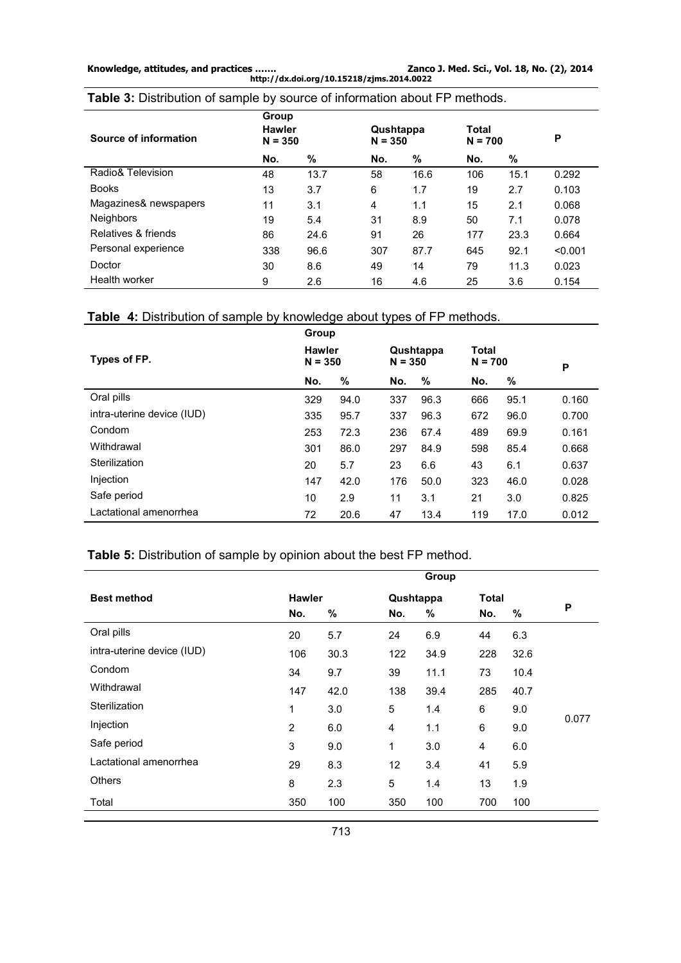**Knowledge, attitudes, and practices ……. Zanco J. Med. Sci., Vol. 18, No. (2), 2014 http://dx.doi.org/10.15218/zjms.2014.0022** 

**Table 3:** Distribution of sample by source of information about FP methods.

| Source of information | Group<br><b>Hawler</b><br>$N = 350$ |      | Qushtappa<br>$N = 350$ |      | Total<br>$N = 700$ |      | P       |
|-----------------------|-------------------------------------|------|------------------------|------|--------------------|------|---------|
|                       | No.                                 | %    | No.                    | %    | No.                | %    |         |
| Radio& Television     | 48                                  | 13.7 | 58                     | 16.6 | 106                | 15.1 | 0.292   |
| <b>Books</b>          | 13                                  | 3.7  | 6                      | 1.7  | 19                 | 2.7  | 0.103   |
| Magazines& newspapers | 11                                  | 3.1  | 4                      | 1.1  | 15                 | 2.1  | 0.068   |
| <b>Neighbors</b>      | 19                                  | 5.4  | 31                     | 8.9  | 50                 | 7.1  | 0.078   |
| Relatives & friends   | 86                                  | 24.6 | 91                     | 26   | 177                | 23.3 | 0.664   |
| Personal experience   | 338                                 | 96.6 | 307                    | 87.7 | 645                | 92.1 | < 0.001 |
| Doctor                | 30                                  | 8.6  | 49                     | 14   | 79                 | 11.3 | 0.023   |
| Health worker         | 9                                   | 2.6  | 16                     | 4.6  | 25                 | 3.6  | 0.154   |

# **Table 4:** Distribution of sample by knowledge about types of FP methods.

|                            | Group                      |      |                        |      |                    |      |       |
|----------------------------|----------------------------|------|------------------------|------|--------------------|------|-------|
| Types of FP.               | <b>Hawler</b><br>$N = 350$ |      | Qushtappa<br>$N = 350$ |      | Total<br>$N = 700$ |      | P     |
|                            | No.                        | %    | No.                    | %    | No.                | %    |       |
| Oral pills                 | 329                        | 94.0 | 337                    | 96.3 | 666                | 95.1 | 0.160 |
| intra-uterine device (IUD) | 335                        | 95.7 | 337                    | 96.3 | 672                | 96.0 | 0.700 |
| Condom                     | 253                        | 72.3 | 236                    | 67.4 | 489                | 69.9 | 0.161 |
| Withdrawal                 | 301                        | 86.0 | 297                    | 84.9 | 598                | 85.4 | 0.668 |
| Sterilization              | 20                         | 5.7  | 23                     | 6.6  | 43                 | 6.1  | 0.637 |
| Injection                  | 147                        | 42.0 | 176                    | 50.0 | 323                | 46.0 | 0.028 |
| Safe period                | 10                         | 2.9  | 11                     | 3.1  | 21                 | 3.0  | 0.825 |
| Lactational amenorrhea     | 72                         | 20.6 | 47                     | 13.4 | 119                | 17.0 | 0.012 |

# **Table 5:** Distribution of sample by opinion about the best FP method.

|                            |                |      |           | Group |              |      |       |
|----------------------------|----------------|------|-----------|-------|--------------|------|-------|
| <b>Best method</b>         | <b>Hawler</b>  |      | Qushtappa |       | <b>Total</b> |      |       |
|                            | No.            | %    | No.       | %     | No.          | %    | P     |
| Oral pills                 | 20             | 5.7  | 24        | 6.9   | 44           | 6.3  |       |
| intra-uterine device (IUD) | 106            | 30.3 | 122       | 34.9  | 228          | 32.6 |       |
| Condom                     | 34             | 9.7  | 39        | 11.1  | 73           | 10.4 |       |
| Withdrawal                 | 147            | 42.0 | 138       | 39.4  | 285          | 40.7 |       |
| Sterilization              | 1              | 3.0  | 5         | 1.4   | 6            | 9.0  |       |
| Injection                  | $\overline{2}$ | 6.0  | 4         | 1.1   | 6            | 9.0  | 0.077 |
| Safe period                | 3              | 9.0  | 1         | 3.0   | 4            | 6.0  |       |
| Lactational amenorrhea     | 29             | 8.3  | 12        | 3.4   | 41           | 5.9  |       |
| <b>Others</b>              | 8              | 2.3  | 5         | 1.4   | 13           | 1.9  |       |
| Total                      | 350            | 100  | 350       | 100   | 700          | 100  |       |
|                            |                |      |           |       |              |      |       |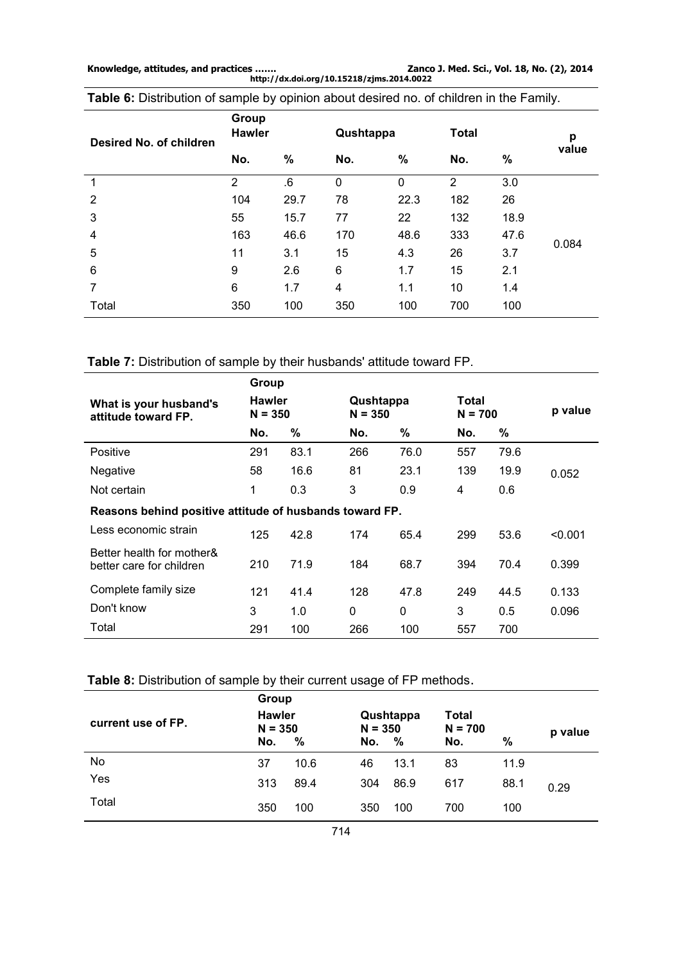**http://dx.doi.org/10.15218/zjms.2014.0022** 

| Desired No. of children | Group<br><b>Hawler</b> |      | <b>Total</b><br>Qushtappa |      |     |      | p     |
|-------------------------|------------------------|------|---------------------------|------|-----|------|-------|
|                         | No.                    | %    | No.                       | $\%$ | No. | %    | value |
|                         | $\overline{2}$         | 6.6  | $\mathbf 0$               | 0    | 2   | 3.0  |       |
| $\overline{2}$          | 104                    | 29.7 | 78                        | 22.3 | 182 | 26   |       |
| 3                       | 55                     | 15.7 | 77                        | 22   | 132 | 18.9 |       |
| 4                       | 163                    | 46.6 | 170                       | 48.6 | 333 | 47.6 |       |
| 5                       | 11                     | 3.1  | 15                        | 4.3  | 26  | 3.7  | 0.084 |
| 6                       | 9                      | 2.6  | 6                         | 1.7  | 15  | 2.1  |       |
| 7                       | 6                      | 1.7  | 4                         | 1.1  | 10  | 1.4  |       |
| Total                   | 350                    | 100  | 350                       | 100  | 700 | 100  |       |

**Table 6:** Distribution of sample by opinion about desired no. of children in the Family.

**Table 7:** Distribution of sample by their husbands' attitude toward FP.

|                                                         | Group                      |      |                        |      |                    |      |         |
|---------------------------------------------------------|----------------------------|------|------------------------|------|--------------------|------|---------|
| What is your husband's<br>attitude toward FP.           | <b>Hawler</b><br>$N = 350$ |      | Qushtappa<br>$N = 350$ |      | Total<br>$N = 700$ |      | p value |
|                                                         | No.                        | %    | No.                    | %    | No.                | %    |         |
| <b>Positive</b>                                         | 291                        | 83.1 | 266                    | 76.0 | 557                | 79.6 |         |
| Negative                                                | 58                         | 16.6 | 81                     | 23.1 | 139                | 19.9 | 0.052   |
| Not certain                                             | 1                          | 0.3  | 3                      | 0.9  | 4                  | 0.6  |         |
| Reasons behind positive attitude of husbands toward FP. |                            |      |                        |      |                    |      |         |
| Less economic strain                                    | 125                        | 42.8 | 174                    | 65.4 | 299                | 53.6 | < 0.001 |
| Better health for mother&<br>better care for children   | 210                        | 71.9 | 184                    | 68.7 | 394                | 70.4 | 0.399   |
| Complete family size                                    | 121                        | 41.4 | 128                    | 47.8 | 249                | 44.5 | 0.133   |
| Don't know                                              | 3                          | 1.0  | 0                      | 0    | 3                  | 0.5  | 0.096   |
| Total                                                   | 291                        | 100  | 266                    | 100  | 557                | 700  |         |

| Table 8: Distribution of sample by their current usage of FP methods. |  |  |  |  |
|-----------------------------------------------------------------------|--|--|--|--|
|-----------------------------------------------------------------------|--|--|--|--|

|                    | Group                             |      |                  |                   |                           |      |         |
|--------------------|-----------------------------------|------|------------------|-------------------|---------------------------|------|---------|
| current use of FP. | <b>Hawler</b><br>$N = 350$<br>No. | %    | $N = 350$<br>No. | Qushtappa<br>$\%$ | Total<br>$N = 700$<br>No. | $\%$ | p value |
| No                 | 37                                | 10.6 | 46               | 13.1              | 83                        | 11.9 |         |
| Yes                | 313                               | 89.4 | 304              | 86.9              | 617                       | 88.1 | 0.29    |
| Total              | 350                               | 100  | 350              | 100               | 700                       | 100  |         |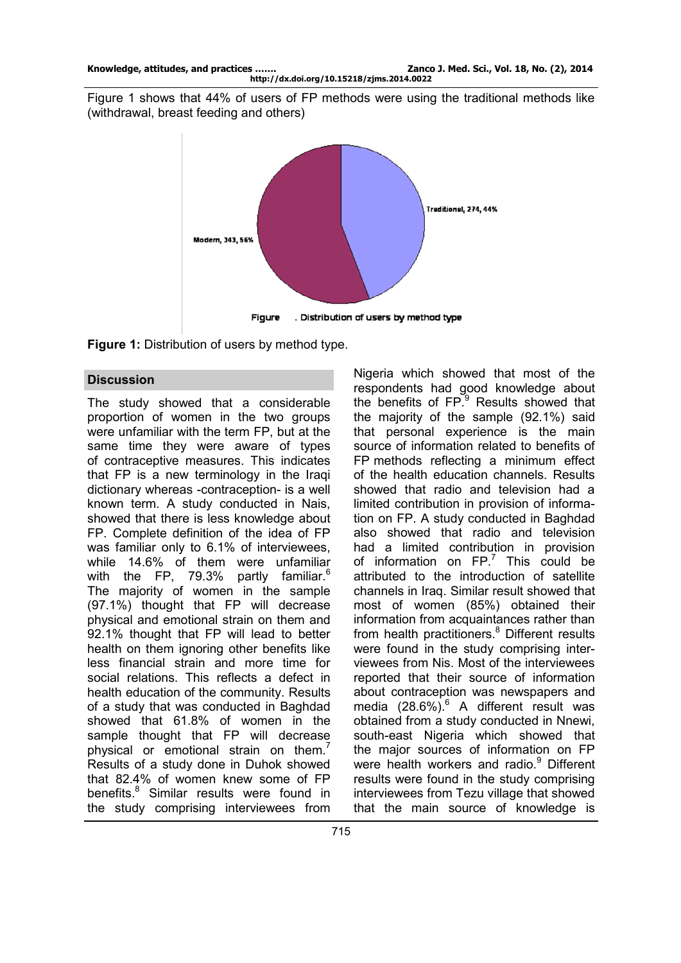Figure 1 shows that 44% of users of FP methods were using the traditional methods like (withdrawal, breast feeding and others)



. Distribution of users by method type **Figure** 

**Figure 1:** Distribution of users by method type.

## **Discussion**

The study showed that a considerable proportion of women in the two groups were unfamiliar with the term FP, but at the same time they were aware of types of contraceptive measures. This indicates that FP is a new terminology in the Iraqi dictionary whereas -contraception- is a well known term. A study conducted in Nais, showed that there is less knowledge about FP. Complete definition of the idea of FP was familiar only to 6.1% of interviewees, while 14.6% of them were unfamiliar with the FP, 79.3% partly familiar.<sup>6</sup> The majority of women in the sample (97.1%) thought that FP will decrease physical and emotional strain on them and 92.1% thought that FP will lead to better health on them ignoring other benefits like less financial strain and more time for social relations. This reflects a defect in health education of the community. Results of a study that was conducted in Baghdad showed that 61.8% of women in the sample thought that FP will decrease physical or emotional strain on them.<sup>7</sup> Results of a study done in Duhok showed that 82.4% of women knew some of FP benefits.<sup>8</sup> Similar results were found in the study comprising interviewees from

Nigeria which showed that most of the respondents had good knowledge about the benefits of  $FP<sup>9</sup>$  Results showed that the majority of the sample (92.1%) said that personal experience is the main source of information related to benefits of FP methods reflecting a minimum effect of the health education channels. Results showed that radio and television had a limited contribution in provision of information on FP. A study conducted in Baghdad also showed that radio and television had a limited contribution in provision of information on  $FP<sup>7</sup>$  This could be attributed to the introduction of satellite channels in Iraq. Similar result showed that most of women (85%) obtained their information from acquaintances rather than from health practitioners.<sup>8</sup> Different results were found in the study comprising interviewees from Nis. Most of the interviewees reported that their source of information about contraception was newspapers and media  $(28.6\%)$ <sup>6</sup> A different result was obtained from a study conducted in Nnewi, south-east Nigeria which showed that the major sources of information on FP were health workers and radio.<sup>9</sup> Different results were found in the study comprising interviewees from Tezu village that showed that the main source of knowledge is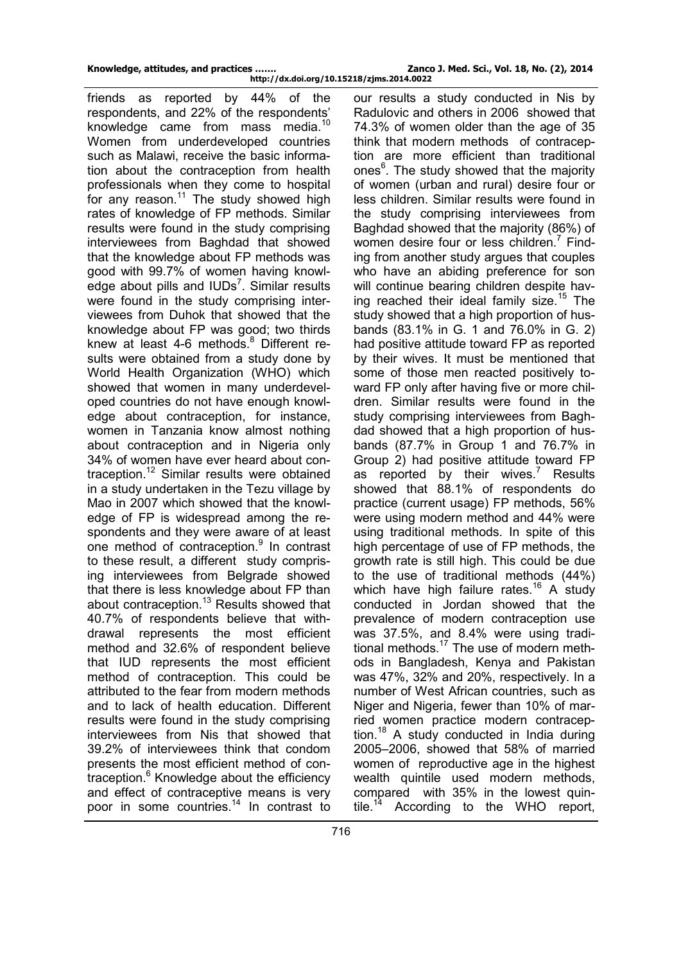friends as reported by 44% of the respondents, and 22% of the respondents' knowledge came from mass media.<sup>10</sup> Women from underdeveloped countries such as Malawi, receive the basic information about the contraception from health professionals when they come to hospital for any reason. $11$  The study showed high rates of knowledge of FP methods. Similar results were found in the study comprising interviewees from Baghdad that showed that the knowledge about FP methods was good with 99.7% of women having knowledge about pills and  $IUDs<sup>7</sup>$ . Similar results were found in the study comprising interviewees from Duhok that showed that the knowledge about FP was good; two thirds knew at least 4-6 methods. $8$  Different results were obtained from a study done by World Health Organization (WHO) which showed that women in many underdeveloped countries do not have enough knowledge about contraception, for instance, women in Tanzania know almost nothing about contraception and in Nigeria only 34% of women have ever heard about contraception.<sup>12</sup> Similar results were obtained in a study undertaken in the Tezu village by Mao in 2007 which showed that the knowledge of FP is widespread among the respondents and they were aware of at least one method of contraception.<sup>9</sup> In contrast to these result, a different study comprising interviewees from Belgrade showed that there is less knowledge about FP than about contraception.<sup>13</sup> Results showed that 40.7% of respondents believe that withdrawal represents the most efficient method and 32.6% of respondent believe that IUD represents the most efficient method of contraception. This could be attributed to the fear from modern methods and to lack of health education. Different results were found in the study comprising interviewees from Nis that showed that 39.2% of interviewees think that condom presents the most efficient method of contraception.<sup>6</sup> Knowledge about the efficiency and effect of contraceptive means is very poor in some countries.<sup>14</sup> In contrast to

our results a study conducted in Nis by Radulovic and others in 2006 showed that 74.3% of women older than the age of 35 think that modern methods of contraception are more efficient than traditional ones<sup>6</sup>. The study showed that the majority of women (urban and rural) desire four or less children. Similar results were found in the study comprising interviewees from Baghdad showed that the majority (86%) of women desire four or less children.<sup>7</sup> Finding from another study argues that couples who have an abiding preference for son will continue bearing children despite having reached their ideal family size.<sup>15</sup> The study showed that a high proportion of husbands (83.1% in G. 1 and 76.0% in G. 2) had positive attitude toward FP as reported by their wives. It must be mentioned that some of those men reacted positively toward FP only after having five or more children. Similar results were found in the study comprising interviewees from Baghdad showed that a high proportion of husbands (87.7% in Group 1 and 76.7% in Group 2) had positive attitude toward FP as reported by their wives.<sup>7</sup> Results showed that 88.1% of respondents do practice (current usage) FP methods, 56% were using modern method and 44% were using traditional methods. In spite of this high percentage of use of FP methods, the growth rate is still high. This could be due to the use of traditional methods (44%) which have high failure rates.<sup>16</sup> A study conducted in Jordan showed that the prevalence of modern contraception use was 37.5%, and 8.4% were using traditional methods. $17$  The use of modern methods in Bangladesh, Kenya and Pakistan was 47%, 32% and 20%, respectively. In a number of West African countries, such as Niger and Nigeria, fewer than 10% of married women practice modern contraception.<sup>18</sup> A study conducted in India during 2005–2006, showed that 58% of married women of reproductive age in the highest wealth quintile used modern methods, compared with 35% in the lowest quintile.<sup>14</sup> According to the WHO report,